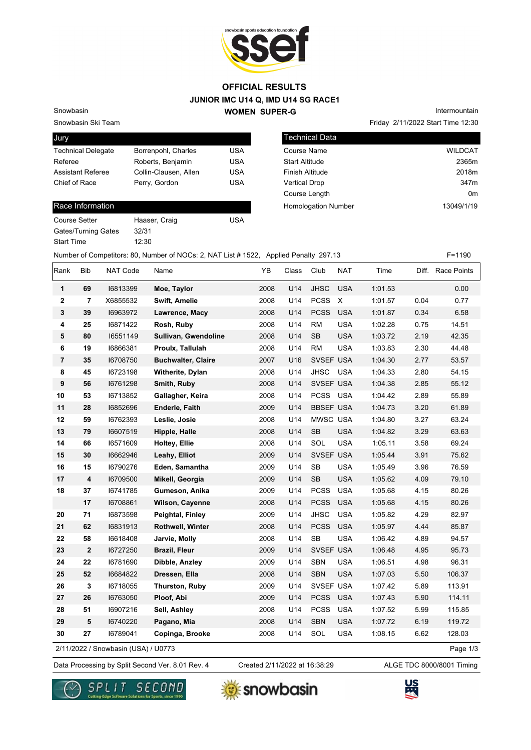

### **JUNIOR IMC U14 Q, IMD U14 SG RACE1 WOMEN SUPER-G OFFICIAL RESULTS**

Snowbasin Ski Team

Snowbasin

| Jury                      |                       |            |
|---------------------------|-----------------------|------------|
| <b>Technical Delegate</b> | Borrenpohl, Charles   | USA        |
| Referee                   | Roberts, Benjamin     | USA        |
| <b>Assistant Referee</b>  | Collin-Clausen, Allen | <b>USA</b> |
| Chief of Race             | Perry, Gordon         | USA        |

#### Race Information

| <b>Course Setter</b>       | Haaser, Craig | USA |
|----------------------------|---------------|-----|
| <b>Gates/Turning Gates</b> | 32/31         |     |
| <b>Start Time</b>          | 12:30         |     |

Friday 2/11/2022 Start Time 12:30 Intermountain

| Technical Data             |                  |
|----------------------------|------------------|
| Course Name                | <b>WILDCAT</b>   |
| <b>Start Altitude</b>      | 2365m            |
| <b>Finish Altitude</b>     | 2018m            |
| <b>Vertical Drop</b>       | 347 <sub>m</sub> |
| Course Length              | 0 <sub>m</sub>   |
| <b>Homologation Number</b> | 13049/1/19       |
|                            |                  |

Number of Competitors: 80, Number of NOCs: 2, NAT List # 1522, Applied Penalty 297.13 F=1190

| Rank                                | <b>Bib</b>       | NAT Code | Name                      | YΒ   | Class | Club             | NAT            | Time    |          | Diff. Race Points |
|-------------------------------------|------------------|----------|---------------------------|------|-------|------------------|----------------|---------|----------|-------------------|
| 1                                   | 69               | 16813399 | Moe, Taylor               | 2008 | U14   | <b>JHSC</b>      | <b>USA</b>     | 1:01.53 |          | 0.00              |
| 2                                   | $\overline{7}$   | X6855532 | Swift, Amelie             | 2008 | U14   | <b>PCSS</b>      | $\pmb{\times}$ | 1:01.57 | 0.04     | 0.77              |
| 3                                   | 39               | 16963972 | Lawrence, Macy            | 2008 | U14   | <b>PCSS</b>      | <b>USA</b>     | 1:01.87 | 0.34     | 6.58              |
| 4                                   | 25               | 16871422 | Rosh, Ruby                | 2008 | U14   | <b>RM</b>        | <b>USA</b>     | 1:02.28 | 0.75     | 14.51             |
| 5                                   | 80               | 16551149 | Sullivan, Gwendoline      | 2008 | U14   | <b>SB</b>        | <b>USA</b>     | 1:03.72 | 2.19     | 42.35             |
| 6                                   | 19               | 16866381 | Proulx, Tallulah          | 2008 | U14   | <b>RM</b>        | <b>USA</b>     | 1:03.83 | 2.30     | 44.48             |
| $\overline{7}$                      | 35               | 16708750 | <b>Buchwalter, Claire</b> | 2007 | U16   | SVSEF USA        |                | 1:04.30 | 2.77     | 53.57             |
| 8                                   | 45               | 16723198 | Witherite, Dylan          | 2008 | U14   | <b>JHSC</b>      | <b>USA</b>     | 1:04.33 | 2.80     | 54.15             |
| 9                                   | 56               | 16761298 | Smith, Ruby               | 2008 | U14   | SVSEF USA        |                | 1:04.38 | 2.85     | 55.12             |
| 10                                  | 53               | 16713852 | Gallagher, Keira          | 2008 | U14   | PCSS USA         |                | 1:04.42 | 2.89     | 55.89             |
| 11                                  | 28               | 16852696 | Enderle, Faith            | 2009 | U14   | <b>BBSEF USA</b> |                | 1:04.73 | 3.20     | 61.89             |
| 12                                  | 59               | 16762393 | Leslie, Josie             | 2008 | U14   | MWSC USA         |                | 1:04.80 | 3.27     | 63.24             |
| 13                                  | 79               | 16607519 | Hipple, Halle             | 2008 | U14   | <b>SB</b>        | <b>USA</b>     | 1:04.82 | 3.29     | 63.63             |
| 14                                  | 66               | 16571609 | Holtey, Ellie             | 2008 | U14   | SOL              | <b>USA</b>     | 1:05.11 | 3.58     | 69.24             |
| 15                                  | 30               | 16662946 | Leahy, Elliot             | 2009 | U14   | SVSEF USA        |                | 1:05.44 | 3.91     | 75.62             |
| 16                                  | 15               | 16790276 | Eden, Samantha            | 2009 | U14   | <b>SB</b>        | <b>USA</b>     | 1:05.49 | 3.96     | 76.59             |
| 17                                  | 4                | 16709500 | Mikell, Georgia           | 2009 | U14   | SB               | <b>USA</b>     | 1:05.62 | 4.09     | 79.10             |
| 18                                  | 37               | 16741785 | Gumeson, Anika            | 2009 | U14   | <b>PCSS</b>      | <b>USA</b>     | 1:05.68 | 4.15     | 80.26             |
|                                     | 17               | 16708861 | Wilson, Cayenne           | 2008 | U14   | <b>PCSS</b>      | <b>USA</b>     | 1:05.68 | 4.15     | 80.26             |
| 20                                  | 71               | 16873598 | Peightal, Finley          | 2009 | U14   | <b>JHSC</b>      | <b>USA</b>     | 1:05.82 | 4.29     | 82.97             |
| 21                                  | 62               | 16831913 | Rothwell, Winter          | 2008 | U14   | <b>PCSS</b>      | <b>USA</b>     | 1:05.97 | 4.44     | 85.87             |
| 22                                  | 58               | 16618408 | Jarvie, Molly             | 2008 | U14   | <b>SB</b>        | <b>USA</b>     | 1:06.42 | 4.89     | 94.57             |
| 23                                  | $\boldsymbol{2}$ | 16727250 | <b>Brazil, Fleur</b>      | 2009 | U14   | SVSEF USA        |                | 1:06.48 | 4.95     | 95.73             |
| 24                                  | 22               | 16781690 | Dibble, Anzley            | 2009 | U14   | SBN              | <b>USA</b>     | 1:06.51 | 4.98     | 96.31             |
| 25                                  | 52               | 16684822 | Dressen, Ella             | 2008 | U14   | <b>SBN</b>       | <b>USA</b>     | 1:07.03 | 5.50     | 106.37            |
| 26                                  | 3                | 16718055 | Thurston, Ruby            | 2009 | U14   | SVSEF USA        |                | 1:07.42 | 5.89     | 113.91            |
| 27                                  | 26               | 16763050 | Ploof, Abi                | 2009 | U14   | <b>PCSS</b>      | <b>USA</b>     | 1:07.43 | 5.90     | 114.11            |
| 28                                  | 51               | 16907216 | Sell, Ashley              | 2008 | U14   | <b>PCSS</b>      | <b>USA</b>     | 1:07.52 | 5.99     | 115.85            |
| 29                                  | 5                | 16740220 | Pagano, Mia               | 2008 | U14   | <b>SBN</b>       | <b>USA</b>     | 1:07.72 | 6.19     | 119.72            |
| 30                                  | 27               | 16789041 | Copinga, Brooke           | 2008 | U14   | SOL              | <b>USA</b>     | 1:08.15 | 6.62     | 128.03            |
| 2/11/2022 / Snowbasin (USA) / U0773 |                  |          |                           |      |       |                  |                |         | Page 1/3 |                   |

2/11/2022 / Snowbasin (USA) / U0773

Data Processing by Split Second Ver. 8.01 Rev. 4 Created 2/11/2022 at 16:38:29 ALGE TDC 8000/8001 Timing Created 2/11/2022 at 16:38:29





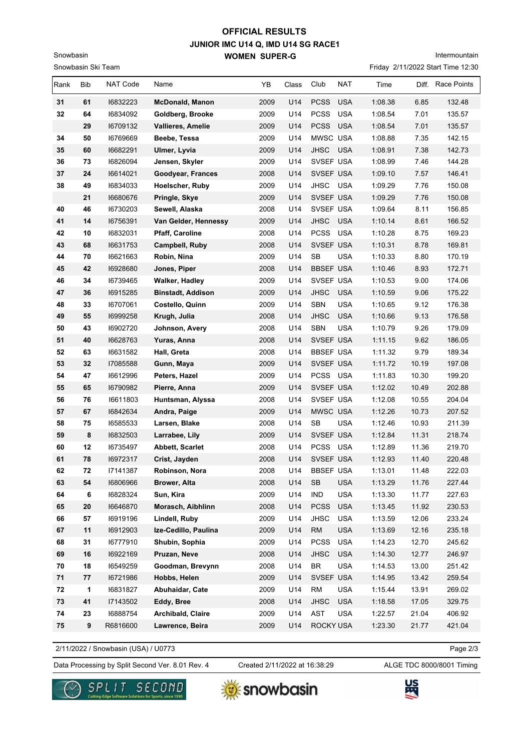# **JUNIOR IMC U14 Q, IMD U14 SG RACE1 WOMEN SUPER-G OFFICIAL RESULTS**

e 12:30 Intermountain

| Snowbasin |                    |                 | <b>WOMEN SUPER-G</b>   |      |       |                  |            |                                  | Intermounta |                    |
|-----------|--------------------|-----------------|------------------------|------|-------|------------------|------------|----------------------------------|-------------|--------------------|
|           | Snowbasin Ski Team |                 |                        |      |       |                  |            | Friday 2/11/2022 Start Time 12:3 |             |                    |
| Rank      | <b>Bib</b>         | <b>NAT Code</b> | Name                   | YB   | Class | Club             | <b>NAT</b> | Time                             | Diff.       | <b>Race Points</b> |
| 31        | 61                 | 16832223        | <b>McDonald, Manon</b> | 2009 | U14   | <b>PCSS</b>      | <b>USA</b> | 1:08.38                          | 6.85        | 132.48             |
| 32        | 64                 | 16834092        | Goldberg, Brooke       | 2009 | U14   | <b>PCSS</b>      | <b>USA</b> | 1:08.54                          | 7.01        | 135.57             |
|           | 29                 | 16709132        | Vallieres, Amelie      | 2009 | U14   | <b>PCSS</b>      | <b>USA</b> | 1:08.54                          | 7.01        | 135.57             |
| 34        | 50                 | 16769669        | Beebe, Tessa           | 2009 | U14   | MWSC USA         |            | 1:08.88                          | 7.35        | 142.15             |
| 35        | 60                 | 16682291        | Ulmer, Lyvia           | 2009 | U14   | <b>JHSC</b>      | <b>USA</b> | 1:08.91                          | 7.38        | 142.73             |
| 36        | 73                 | 16826094        | Jensen, Skyler         | 2009 | U14   | SVSEF USA        |            | 1:08.99                          | 7.46        | 144.28             |
| 37        | 24                 | 16614021        | Goodyear, Frances      | 2008 | U14   | SVSEF USA        |            | 1:09.10                          | 7.57        | 146.41             |
| 38        | 49                 | 16834033        | Hoelscher, Ruby        | 2009 | U14   | <b>JHSC</b>      | <b>USA</b> | 1:09.29                          | 7.76        | 150.08             |
|           | 21                 | 16680676        | Pringle, Skye          | 2009 | U14   | SVSEF USA        |            | 1:09.29                          | 7.76        | 150.08             |
| 40        | 46                 | 16730203        | Sewell, Alaska         | 2008 | U14   | SVSEF USA        |            | 1:09.64                          | 8.11        | 156.85             |
| 41        | 14                 | 16756391        | Van Gelder, Hennessy   | 2009 | U14   | <b>JHSC</b>      | <b>USA</b> | 1:10.14                          | 8.61        | 166.52             |
| 42        | 10                 | 16832031        | <b>Pfaff, Caroline</b> | 2008 | U14   | <b>PCSS</b>      | <b>USA</b> | 1:10.28                          | 8.75        | 169.23             |
| 43        | 68                 | 16631753        | Campbell, Ruby         | 2008 | U14   | SVSEF USA        |            | 1:10.31                          | 8.78        | 169.81             |
| 44        | 70                 | 16621663        | Robin, Nina            | 2009 | U14   | <b>SB</b>        | <b>USA</b> | 1:10.33                          | 8.80        | 170.19             |
| 45        | 42                 | 16928680        | Jones, Piper           | 2008 | U14   | <b>BBSEF USA</b> |            | 1:10.46                          | 8.93        | 172.71             |
| 46        | 34                 | 16739465        | <b>Walker, Hadley</b>  | 2009 | U14   | SVSEF USA        |            | 1:10.53                          | 9.00        | 174.06             |
|           |                    |                 |                        |      |       |                  |            |                                  |             |                    |

| 44 | 70 | 16621663 | Robin, Nina              | 2009 | U14 | <b>SB</b><br><b>USA</b>   | 1:10.33 | 8.80  | 170.19 |
|----|----|----------|--------------------------|------|-----|---------------------------|---------|-------|--------|
| 45 | 42 | 16928680 | Jones, Piper             | 2008 | U14 | <b>BBSEF USA</b>          | 1:10.46 | 8.93  | 172.71 |
| 46 | 34 | 16739465 | Walker, Hadley           | 2009 | U14 | SVSEF USA                 | 1:10.53 | 9.00  | 174.06 |
| 47 | 36 | 16915285 | <b>Binstadt, Addison</b> | 2009 | U14 | <b>JHSC</b><br><b>USA</b> | 1:10.59 | 9.06  | 175.22 |
| 48 | 33 | 16707061 | Costello, Quinn          | 2009 | U14 | <b>SBN</b><br><b>USA</b>  | 1:10.65 | 9.12  | 176.38 |
| 49 | 55 | 16999258 | Krugh, Julia             | 2008 | U14 | <b>USA</b><br><b>JHSC</b> | 1:10.66 | 9.13  | 176.58 |
| 50 | 43 | 16902720 | Johnson, Avery           | 2008 | U14 | <b>SBN</b><br><b>USA</b>  | 1:10.79 | 9.26  | 179.09 |
| 51 | 40 | 16628763 | Yuras, Anna              | 2008 | U14 | SVSEF USA                 | 1:11.15 | 9.62  | 186.05 |
| 52 | 63 | 16631582 | Hall, Greta              | 2008 | U14 | <b>BBSEF USA</b>          | 1:11.32 | 9.79  | 189.34 |
| 53 | 32 | 17085588 | Gunn, Maya               | 2009 | U14 | SVSEF USA                 | 1:11.72 | 10.19 | 197.08 |
| 54 | 47 | 16612996 | Peters, Hazel            | 2009 | U14 | PCSS USA                  | 1:11.83 | 10.30 | 199.20 |
| 55 | 65 | 16790982 | Pierre, Anna             | 2009 | U14 | SVSEF USA                 | 1:12.02 | 10.49 | 202.88 |
| 56 | 76 | 16611803 | Huntsman, Alyssa         | 2008 | U14 | SVSEF USA                 | 1:12.08 | 10.55 | 204.04 |
| 57 | 67 | 16842634 | Andra, Paige             | 2009 | U14 | MWSC USA                  | 1:12.26 | 10.73 | 207.52 |
| 58 | 75 | 16585533 | Larsen, Blake            | 2008 | U14 | <b>SB</b><br><b>USA</b>   | 1:12.46 | 10.93 | 211.39 |
| 59 | 8  | 16832503 | Larrabee, Lily           | 2009 | U14 | SVSEF USA                 | 1:12.84 | 11.31 | 218.74 |
| 60 | 12 | 16735497 | <b>Abbett, Scarlet</b>   | 2008 | U14 | PCSS USA                  | 1:12.89 | 11.36 | 219.70 |
| 61 | 78 | 16972317 | Crist, Jayden            | 2008 | U14 | SVSEF USA                 | 1:12.93 | 11.40 | 220.48 |
| 62 | 72 | 17141387 | Robinson, Nora           | 2008 | U14 | <b>BBSEF USA</b>          | 1:13.01 | 11.48 | 222.03 |
| 63 | 54 | 16806966 | Brower, Alta             | 2008 | U14 | SB<br><b>USA</b>          | 1:13.29 | 11.76 | 227.44 |
| 64 | 6  | 16828324 | Sun, Kira                | 2009 | U14 | <b>USA</b><br><b>IND</b>  | 1:13.30 | 11.77 | 227.63 |
| 65 | 20 | 16646870 | Morasch, Aibhlinn        | 2008 | U14 | <b>PCSS</b><br><b>USA</b> | 1:13.45 | 11.92 | 230.53 |
| 66 | 57 | 16919196 | Lindell, Ruby            | 2009 | U14 | <b>JHSC</b><br><b>USA</b> | 1:13.59 | 12.06 | 233.24 |
| 67 | 11 | 16912903 | Ize-Cedillo, Paulina     | 2009 | U14 | <b>RM</b><br><b>USA</b>   | 1:13.69 | 12.16 | 235.18 |
| 68 | 31 | 16777910 | Shubin, Sophia           | 2009 | U14 | <b>PCSS</b><br><b>USA</b> | 1:14.23 | 12.70 | 245.62 |
| 69 | 16 | 16922169 | Pruzan, Neve             | 2008 | U14 | <b>JHSC</b><br><b>USA</b> | 1:14.30 | 12.77 | 246.97 |
| 70 | 18 | 16549259 | Goodman, Brevynn         | 2008 | U14 | <b>BR</b><br><b>USA</b>   | 1:14.53 | 13.00 | 251.42 |
| 71 | 77 | 16721986 | Hobbs, Helen             | 2009 | U14 | SVSEF USA                 | 1:14.95 | 13.42 | 259.54 |
| 72 | 1  | 16831827 | Abuhaidar, Cate          | 2009 | U14 | <b>RM</b><br><b>USA</b>   | 1:15.44 | 13.91 | 269.02 |
| 73 | 41 | 17143502 | Eddy, Bree               | 2008 | U14 | <b>USA</b><br><b>JHSC</b> | 1:18.58 | 17.05 | 329.75 |
| 74 | 23 | 16888754 | <b>Archibald, Claire</b> | 2009 | U14 | <b>AST</b><br><b>USA</b>  | 1:22.57 | 21.04 | 406.92 |
| 75 | 9  | R6816600 | Lawrence, Beira          | 2009 | U14 | <b>ROCKY USA</b>          | 1:23.30 | 21.77 | 421.04 |
|    |    |          |                          |      |     |                           |         |       |        |

2/11/2022 / Snowbasin (USA) / U0773

Data Processing by Split Second Ver. 8.01 Rev. 4 Created 2/11/2022 at 16:38:29 ALGE TDC 8000/8001 Timing Created 2/11/2022 at 16:38:29

Page 2/3